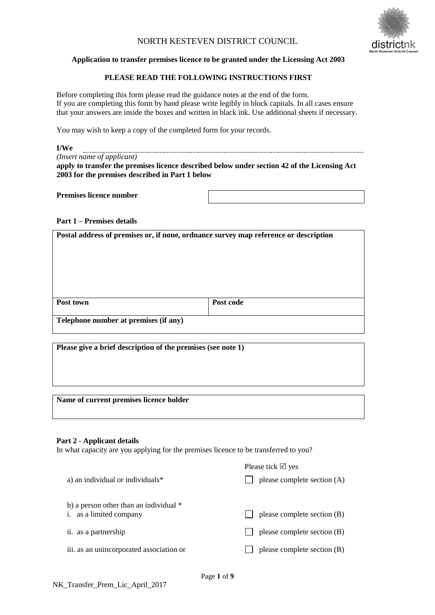# NORTH KESTEVEN DISTRICT COUNCIL



### **Application to transfer premises licence to be granted under the Licensing Act 2003**

## **PLEASE READ THE FOLLOWING INSTRUCTIONS FIRST**

Before completing this form please read the guidance notes at the end of the form. If you are completing this form by hand please write legibly in block capitals. In all cases ensure that your answers are inside the boxes and written in black ink. Use additional sheets if necessary.

You may wish to keep a copy of the completed form for your records.

#### **I/We** *(Insert name of applicant)*

**apply to transfer the premises licence described below under section 42 of the Licensing Act 2003 for the premises described in Part 1 below**

**Premises licence number**

**Part 1 – Premises details**

**Postal address of premises or, if none, ordnance survey map reference or description**

| Post town                             | Post code |  |  |
|---------------------------------------|-----------|--|--|
| Telephone number at premises (if any) |           |  |  |

**Please give a brief description of the premises (see note 1)**

**Name of current premises licence holder**

### **Part 2 - Applicant details**

In what capacity are you applying for the premises licence to be transferred to you?

| Please tick $\boxtimes$ yes |
|-----------------------------|
| please complete section (A) |
| please complete section (B) |
| please complete section (B) |
| please complete section (B) |
|                             |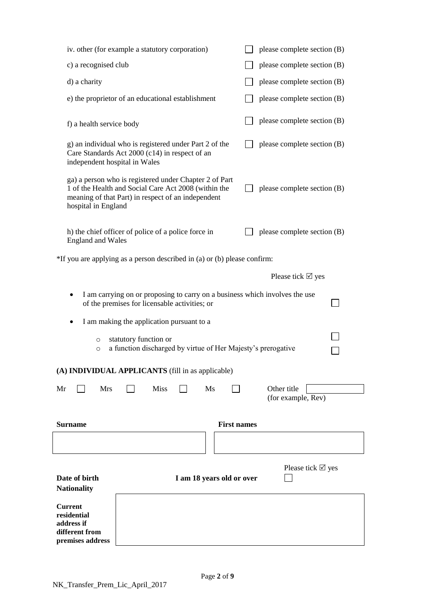| <b>Current</b><br>residential<br>address if<br>different from            |                                                                                                                                                                      |                           |                    |                                                                             |
|--------------------------------------------------------------------------|----------------------------------------------------------------------------------------------------------------------------------------------------------------------|---------------------------|--------------------|-----------------------------------------------------------------------------|
| Date of birth<br><b>Nationality</b>                                      |                                                                                                                                                                      | I am 18 years old or over |                    | Please tick $\boxtimes$ yes                                                 |
|                                                                          |                                                                                                                                                                      |                           |                    |                                                                             |
| Surname                                                                  |                                                                                                                                                                      |                           | <b>First names</b> |                                                                             |
|                                                                          |                                                                                                                                                                      |                           |                    | (for example, Rev)                                                          |
| (A) INDIVIDUAL APPLICANTS (fill in as applicable)<br><b>Mrs</b><br>Mr    | <b>Miss</b>                                                                                                                                                          | Ms                        |                    | Other title                                                                 |
| $\circ$<br>$\circ$                                                       | statutory function or<br>a function discharged by virtue of Her Majesty's prerogative                                                                                |                           |                    |                                                                             |
|                                                                          | I am making the application pursuant to a                                                                                                                            |                           |                    |                                                                             |
|                                                                          | of the premises for licensable activities; or                                                                                                                        |                           |                    | I am carrying on or proposing to carry on a business which involves the use |
|                                                                          |                                                                                                                                                                      |                           |                    | Please tick $\boxtimes$ yes                                                 |
| *If you are applying as a person described in (a) or (b) please confirm: |                                                                                                                                                                      |                           |                    |                                                                             |
| <b>England and Wales</b>                                                 | h) the chief officer of police of a police force in                                                                                                                  |                           |                    | please complete section (B)                                                 |
| hospital in England                                                      | ga) a person who is registered under Chapter 2 of Part<br>1 of the Health and Social Care Act 2008 (within the<br>meaning of that Part) in respect of an independent |                           |                    | please complete section (B)                                                 |
| independent hospital in Wales                                            | g) an individual who is registered under Part 2 of the<br>Care Standards Act 2000 (c14) in respect of an                                                             |                           |                    | please complete section (B)                                                 |
| f) a health service body                                                 |                                                                                                                                                                      |                           |                    | please complete section (B)                                                 |
|                                                                          | e) the proprietor of an educational establishment                                                                                                                    |                           |                    | please complete section (B)                                                 |
| d) a charity                                                             |                                                                                                                                                                      |                           |                    | please complete section (B)                                                 |
| c) a recognised club<br>please complete section (B)                      |                                                                                                                                                                      |                           |                    |                                                                             |
|                                                                          | iv. other (for example a statutory corporation)                                                                                                                      |                           |                    | please complete section (B)                                                 |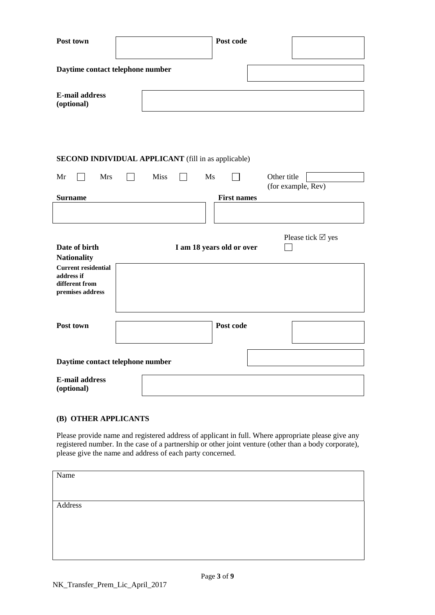| Post town                                                                      | Post code                                                                |  |  |
|--------------------------------------------------------------------------------|--------------------------------------------------------------------------|--|--|
| Daytime contact telephone number                                               |                                                                          |  |  |
| <b>E-mail address</b><br>(optional)                                            |                                                                          |  |  |
|                                                                                |                                                                          |  |  |
|                                                                                | <b>SECOND INDIVIDUAL APPLICANT</b> (fill in as applicable)               |  |  |
| Mr<br><b>Mrs</b>                                                               | <b>Miss</b><br>Ms<br>$\blacksquare$<br>Other title<br>(for example, Rev) |  |  |
| <b>Surname</b>                                                                 | <b>First names</b>                                                       |  |  |
|                                                                                |                                                                          |  |  |
| Date of birth<br><b>Nationality</b>                                            | Please tick $\boxtimes$ yes<br>I am 18 years old or over                 |  |  |
| <b>Current residential</b><br>address if<br>different from<br>premises address |                                                                          |  |  |
| Post town                                                                      | Post code                                                                |  |  |
| Daytime contact telephone number                                               |                                                                          |  |  |
| <b>E-mail address</b><br>(optional)                                            |                                                                          |  |  |

# **(B) OTHER APPLICANTS**

Please provide name and registered address of applicant in full. Where appropriate please give any registered number. In the case of a partnership or other joint venture (other than a body corporate), please give the name and address of each party concerned.

| Name    |  |
|---------|--|
|         |  |
|         |  |
|         |  |
| Address |  |
|         |  |
|         |  |
|         |  |
|         |  |
|         |  |
|         |  |
|         |  |
|         |  |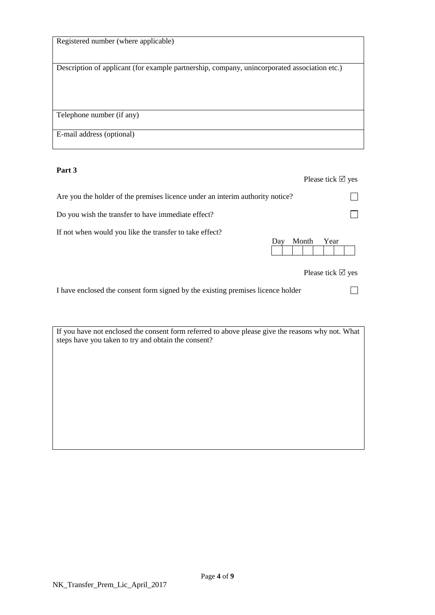| Registered number (where applicable)                                                         |
|----------------------------------------------------------------------------------------------|
| Description of applicant (for example partnership, company, unincorporated association etc.) |
|                                                                                              |
| Telephone number (if any)                                                                    |
| E-mail address (optional)                                                                    |

# **Part 3**

|                                                                               |              | Please tick $\boxtimes$ yes         |
|-------------------------------------------------------------------------------|--------------|-------------------------------------|
| Are you the holder of the premises licence under an interim authority notice? |              |                                     |
| Do you wish the transfer to have immediate effect?                            |              |                                     |
| If not when would you like the transfer to take effect?                       | Month<br>Day | Year<br>Please tick $\boxtimes$ yes |

I have enclosed the consent form signed by the existing premises licence holder

If you have not enclosed the consent form referred to above please give the reasons why not. What steps have you taken to try and obtain the consent?

 $\Box$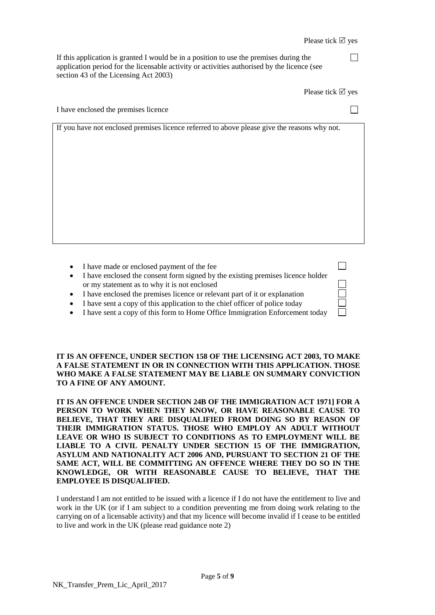П

 $\Box$ 

 $\Box$ 

┑

If this application is granted I would be in a position to use the premises during the application period for the licensable activity or activities authorised by the licence (see section 43 of the Licensing Act 2003)

Please tick  $\boxtimes$  yes

I have enclosed the premises licence

If you have not enclosed premises licence referred to above please give the reasons why not.

- I have made or enclosed payment of the fee
- I have enclosed the consent form signed by the existing premises licence holder or my statement as to why it is not enclosed
- I have enclosed the premises licence or relevant part of it or explanation
- I have sent a copy of this application to the chief officer of police today
- I have sent a copy of this form to Home Office Immigration Enforcement today

**IT IS AN OFFENCE, UNDER SECTION 158 OF THE LICENSING ACT 2003, TO MAKE A FALSE STATEMENT IN OR IN CONNECTION WITH THIS APPLICATION. THOSE WHO MAKE A FALSE STATEMENT MAY BE LIABLE ON SUMMARY CONVICTION TO A FINE OF ANY AMOUNT.** 

**IT IS AN OFFENCE UNDER SECTION 24B OF THE IMMIGRATION ACT 1971] FOR A PERSON TO WORK WHEN THEY KNOW, OR HAVE REASONABLE CAUSE TO BELIEVE, THAT THEY ARE DISQUALIFIED FROM DOING SO BY REASON OF THEIR IMMIGRATION STATUS. THOSE WHO EMPLOY AN ADULT WITHOUT LEAVE OR WHO IS SUBJECT TO CONDITIONS AS TO EMPLOYMENT WILL BE LIABLE TO A CIVIL PENALTY UNDER SECTION 15 OF THE IMMIGRATION, ASYLUM AND NATIONALITY ACT 2006 AND, PURSUANT TO SECTION 21 OF THE SAME ACT, WILL BE COMMITTING AN OFFENCE WHERE THEY DO SO IN THE KNOWLEDGE, OR WITH REASONABLE CAUSE TO BELIEVE, THAT THE EMPLOYEE IS DISQUALIFIED.** 

I understand I am not entitled to be issued with a licence if I do not have the entitlement to live and work in the UK (or if I am subject to a condition preventing me from doing work relating to the carrying on of a licensable activity) and that my licence will become invalid if I cease to be entitled to live and work in the UK (please read guidance note 2)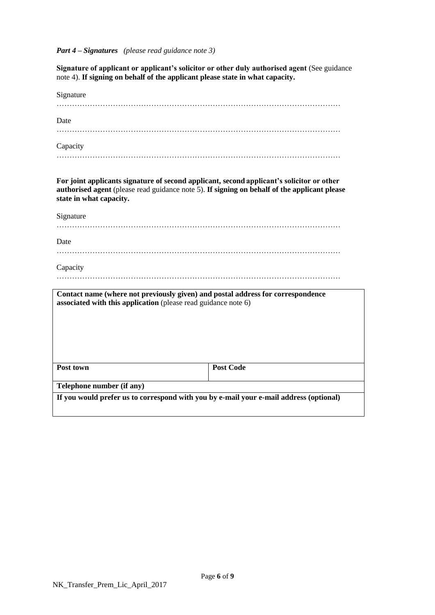*Part 4 – Signatures (please read guidance note 3)*

**Signature of applicant or applicant's solicitor or other duly authorised agent** (See guidance note 4). **If signing on behalf of the applicant please state in what capacity.**

| Signature                                                                                                                                                                                                            |                  |
|----------------------------------------------------------------------------------------------------------------------------------------------------------------------------------------------------------------------|------------------|
| Date                                                                                                                                                                                                                 |                  |
|                                                                                                                                                                                                                      |                  |
| Capacity                                                                                                                                                                                                             |                  |
|                                                                                                                                                                                                                      |                  |
| For joint applicants signature of second applicant, second applicant's solicitor or other<br>authorised agent (please read guidance note 5). If signing on behalf of the applicant please<br>state in what capacity. |                  |
| Signature                                                                                                                                                                                                            |                  |
| Date                                                                                                                                                                                                                 |                  |
| Capacity                                                                                                                                                                                                             |                  |
|                                                                                                                                                                                                                      |                  |
| Contact name (where not previously given) and postal address for correspondence<br>associated with this application (please read guidance note 6)                                                                    |                  |
|                                                                                                                                                                                                                      |                  |
|                                                                                                                                                                                                                      |                  |
|                                                                                                                                                                                                                      |                  |
| Post town                                                                                                                                                                                                            | <b>Post Code</b> |
| Telephone number (if any)                                                                                                                                                                                            |                  |
| If you would prefer us to correspond with you by e-mail your e-mail address (optional)                                                                                                                               |                  |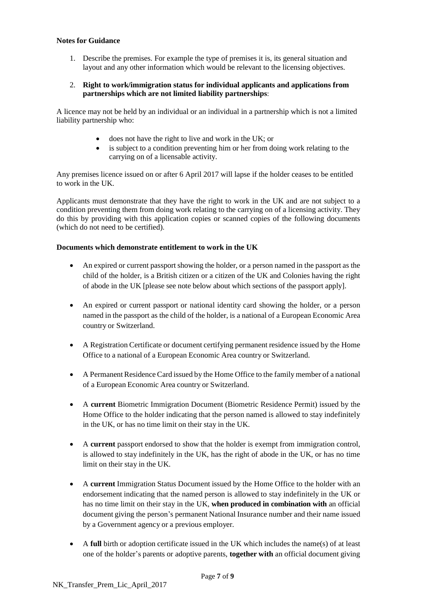#### **Notes for Guidance**

1. Describe the premises. For example the type of premises it is, its general situation and layout and any other information which would be relevant to the licensing objectives.

### 2. **Right to work/immigration status for individual applicants and applications from partnerships which are not limited liability partnerships**:

A licence may not be held by an individual or an individual in a partnership which is not a limited liability partnership who:

- does not have the right to live and work in the UK; or
- is subject to a condition preventing him or her from doing work relating to the carrying on of a licensable activity.

Any premises licence issued on or after 6 April 2017 will lapse if the holder ceases to be entitled to work in the UK.

Applicants must demonstrate that they have the right to work in the UK and are not subject to a condition preventing them from doing work relating to the carrying on of a licensing activity. They do this by providing with this application copies or scanned copies of the following documents (which do not need to be certified).

## **Documents which demonstrate entitlement to work in the UK**

- An expired or current passport showing the holder, or a person named in the passport as the child of the holder, is a British citizen or a citizen of the UK and Colonies having the right of abode in the UK [please see note below about which sections of the passport apply].
- An expired or current passport or national identity card showing the holder, or a person named in the passport as the child of the holder, is a national of a European Economic Area country or Switzerland.
- A Registration Certificate or document certifying permanent residence issued by the Home Office to a national of a European Economic Area country or Switzerland.
- A Permanent Residence Card issued by the Home Office to the family member of a national of a European Economic Area country or Switzerland.
- A **current** Biometric Immigration Document (Biometric Residence Permit) issued by the Home Office to the holder indicating that the person named is allowed to stay indefinitely in the UK, or has no time limit on their stay in the UK.
- A **current** passport endorsed to show that the holder is exempt from immigration control, is allowed to stay indefinitely in the UK, has the right of abode in the UK, or has no time limit on their stay in the UK.
- A **current** Immigration Status Document issued by the Home Office to the holder with an endorsement indicating that the named person is allowed to stay indefinitely in the UK or has no time limit on their stay in the UK, **when produced in combination with** an official document giving the person's permanent National Insurance number and their name issued by a Government agency or a previous employer.
- A **full** birth or adoption certificate issued in the UK which includes the name(s) of at least one of the holder's parents or adoptive parents, **together with** an official document giving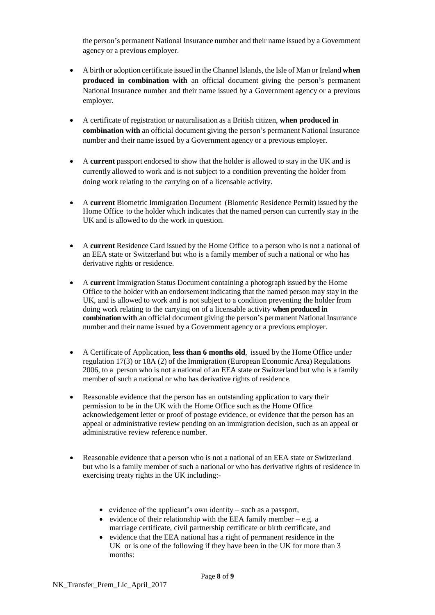the person's permanent National Insurance number and their name issued by a Government agency or a previous employer.

- A birth or adoption certificate issued in the ChannelIslands, the Isle of Man or Ireland **when produced in combination with** an official document giving the person's permanent National Insurance number and their name issued by a Government agency or a previous employer.
- A certificate of registration or naturalisation as a British citizen, **when produced in combination with** an official document giving the person's permanent National Insurance number and their name issued by a Government agency or a previous employer.
- A **current** passport endorsed to show that the holder is allowed to stay in the UK and is currently allowed to work and is not subject to a condition preventing the holder from doing work relating to the carrying on of a licensable activity.
- A **current** Biometric Immigration Document (Biometric Residence Permit) issued by the Home Office to the holder which indicates that the named person can currently stay in the UK and is allowed to do the work in question.
- A **current** Residence Card issued by the Home Office to a person who is not a national of an EEA state or Switzerland but who is a family member of such a national or who has derivative rights or residence.
- A **current** Immigration Status Document containing a photograph issued by the Home Office to the holder with an endorsement indicating that the named person may stay in the UK, and is allowed to work and is not subject to a condition preventing the holder from doing work relating to the carrying on of a licensable activity **when produced in combination with** an official document giving the person's permanent National Insurance number and their name issued by a Government agency or a previous employer.
- A Certificate of Application, **less than 6 months old**, issued by the Home Office under regulation 17(3) or 18A (2) of the Immigration (European Economic Area) Regulations 2006, to a person who is not a national of an EEA state or Switzerland but who is a family member of such a national or who has derivative rights of residence.
- Reasonable evidence that the person has an outstanding application to vary their permission to be in the UK with the Home Office such as the Home Office acknowledgement letter or proof of postage evidence, or evidence that the person has an appeal or administrative review pending on an immigration decision, such as an appeal or administrative review reference number.
- Reasonable evidence that a person who is not a national of an EEA state or Switzerland but who is a family member of such a national or who has derivative rights of residence in exercising treaty rights in the UK including:-
	- evidence of the applicant's own identity such as a passport,
	- evidence of their relationship with the EEA family member  $-e.g. a$ marriage certificate, civil partnership certificate or birth certificate, and
	- evidence that the EEA national has a right of permanent residence in the UK or is one of the following if they have been in the UK for more than 3 months: